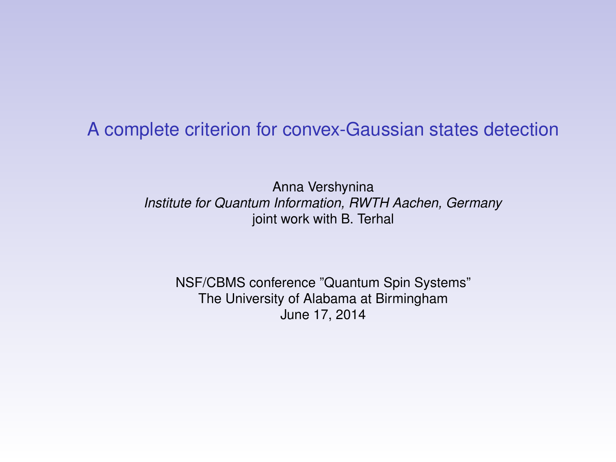### A complete criterion for convex-Gaussian states detection

Anna Vershynina *Institute for Quantum Information, RWTH Aachen, Germany* joint work with B. Terhal

NSF/CBMS conference "Quantum Spin Systems" The University of Alabama at Birmingham June 17, 2014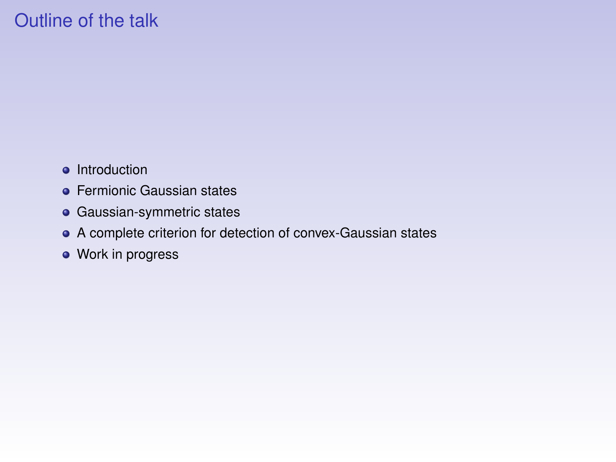# Outline of the talk

- Introduction
- **•** Fermionic Gaussian states
- **•** Gaussian-symmetric states
- A complete criterion for detection of convex-Gaussian states
- Work in progress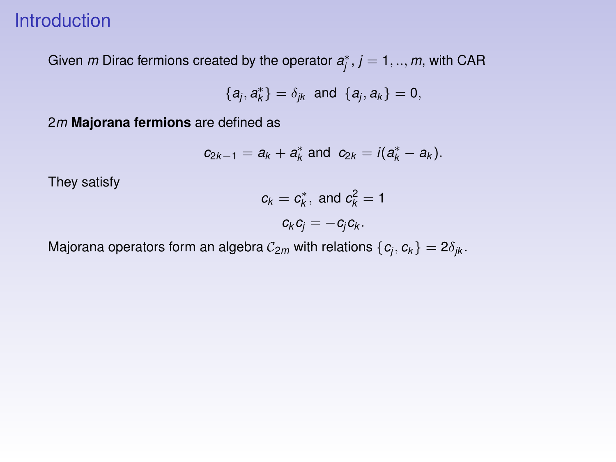## Introduction

Given  $m$  Dirac fermions created by the operator  $a_j^*, j = 1,..,m$ , with CAR

$$
\{a_j,a_k^*\}=\delta_{jk} \text{ and } \{a_j,a_k\}=0,
$$

2*m* **Majorana fermions** are defined as

$$
c_{2k-1} = a_k + a_k^* \text{ and } c_{2k} = i(a_k^* - a_k).
$$

They satisfy

$$
c_k = c_k^*, \text{ and } c_k^2 = 1
$$
  

$$
c_k c_j = -c_j c_k.
$$

Majorana operators form an algebra  $\mathcal{C}_{2m}$  with relations  $\{\pmb{c}_j,\pmb{c}_k\}=2\delta_{jk}.$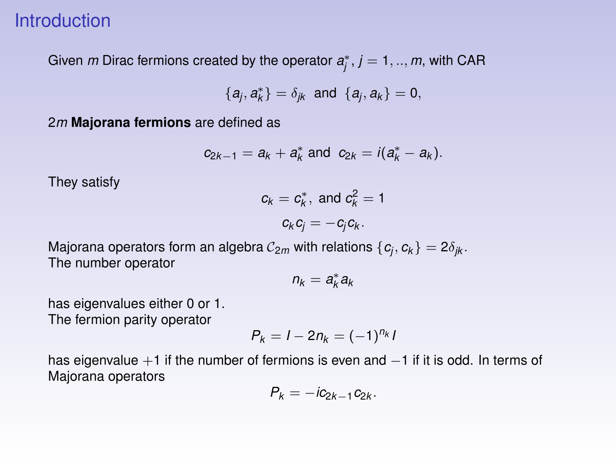### **Introduction**

Given  $m$  Dirac fermions created by the operator  $a^*_j$  ,  $j=1,..,m$ , with CAR

$$
\{a_j,a_k^*\}=\delta_{jk} \text{ and } \{a_j,a_k\}=0,
$$

2*m* **Majorana fermions** are defined as

$$
c_{2k-1} = a_k + a_k^*
$$
 and  $c_{2k} = i(a_k^* - a_k)$ .

They satisfy

$$
c_k = c_k^*, \text{ and } c_k^2 = 1
$$
  

$$
c_k c_j = -c_j c_k.
$$

Majorana operators form an algebra  $\mathcal{C}_{2m}$  with relations  $\{\pmb{c}_j,\pmb{c}_k\}=2\delta_{jk}.$ The number operator

$$
n_k=a_k^*a_k
$$

has eigenvalues either 0 or 1. The fermion parity operator

$$
P_k=I-2n_k=(-1)^{n_k}I
$$

has eigenvalue +1 if the number of fermions is even and −1 if it is odd. In terms of Majorana operators

$$
P_k=-ic_{2k-1}c_{2k}.
$$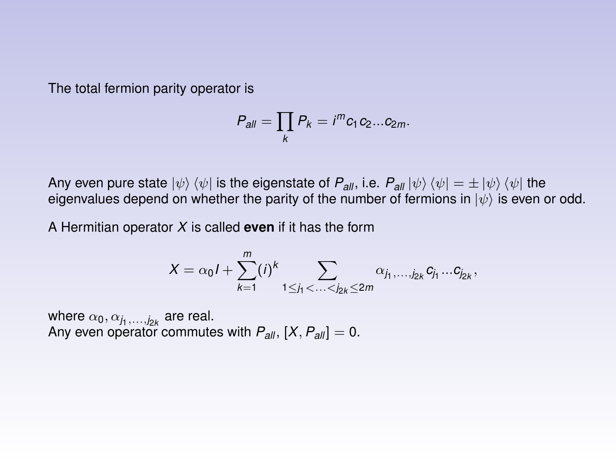The total fermion parity operator is

$$
P_{all}=\prod_k P_k=i^m c_1c_2...c_{2m}.
$$

Any even pure state  $|\psi\rangle \langle \psi|$  is the eigenstate of  $P_{all}$ , i.e.  $P_{all} |\psi\rangle \langle \psi| = \pm |\psi\rangle \langle \psi|$  the eigenvalues depend on whether the parity of the number of fermions in  $|\psi\rangle$  is even or odd.

A Hermitian operator *X* is called **even** if it has the form

$$
X = \alpha_0 I + \sum_{k=1}^m (i)^k \sum_{1 \leq j_1 < \ldots < j_{2k} \leq 2m} \alpha_{j_1, \ldots, j_{2k}} c_{j_1} \ldots c_{j_{2k}},
$$

where  $\alpha_0, \alpha_{j_1, \ldots, j_{2k}}$  are real. Any even operator commutes with  $P_{all}$ ,  $[X, P_{all}] = 0$ .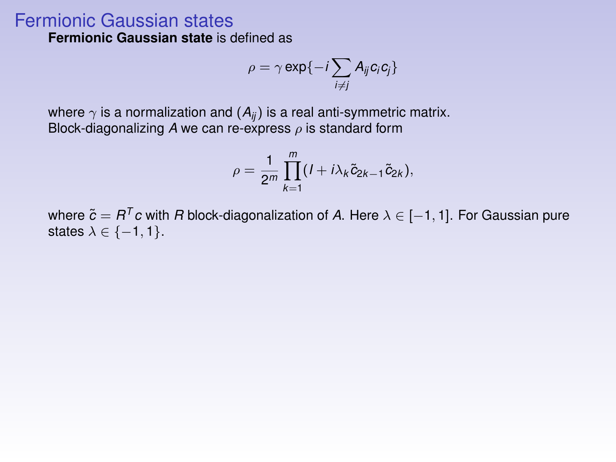## Fermionic Gaussian states

**Fermionic Gaussian state** is defined as

$$
\rho = \gamma \exp\{-i \sum_{i \neq j} A_{ij} c_i c_j\}
$$

where  $\gamma$  is a normalization and  $(A_{ii})$  is a real anti-symmetric matrix. Block-diagonalizing A we can re-express  $\rho$  is standard form

$$
\rho=\frac{1}{2^m}\prod_{k=1}^m(I+i\lambda_k\tilde{c}_{2k-1}\tilde{c}_{2k}),
$$

where  $\tilde{c} = R^T c$  with *R* block-diagonalization of *A*. Here  $\lambda \in [-1, 1]$ . For Gaussian pure states  $\lambda \in \{-1, 1\}$ .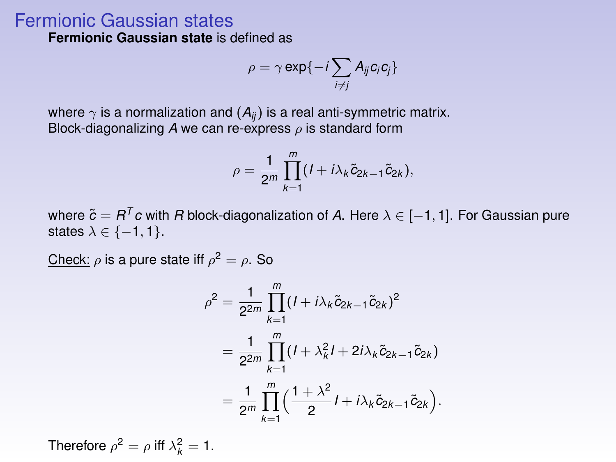### Fermionic Gaussian states

**Fermionic Gaussian state** is defined as

$$
\rho = \gamma \exp\{-i \sum_{i \neq j} A_{ij} c_i c_j\}
$$

where  $\gamma$  is a normalization and  $(A_{ii})$  is a real anti-symmetric matrix. Block-diagonalizing  $A$  we can re-express  $\rho$  is standard form

$$
\rho=\frac{1}{2^m}\prod_{k=1}^m(I+i\lambda_k\tilde{c}_{2k-1}\tilde{c}_{2k}),
$$

where  $\tilde{c} = R^T c$  with *R* block-diagonalization of *A*. Here  $\lambda \in [-1, 1]$ . For Gaussian pure states  $\lambda \in \{-1, 1\}$ .

Check:  $\rho$  is a pure state iff  $\rho^2 = \rho$ . So

$$
\rho^2 = \frac{1}{2^{2m}} \prod_{k=1}^m (I + i\lambda_k \tilde{c}_{2k-1} \tilde{c}_{2k})^2
$$
  
= 
$$
\frac{1}{2^{2m}} \prod_{k=1}^m (I + \lambda_k^2 I + 2i\lambda_k \tilde{c}_{2k-1} \tilde{c}_{2k})
$$
  
= 
$$
\frac{1}{2^m} \prod_{k=1}^m \left( \frac{1 + \lambda^2}{2} I + i\lambda_k \tilde{c}_{2k-1} \tilde{c}_{2k} \right)
$$

.

Therefore  $\rho^2 = \rho$  iff  $\lambda_k^2 = 1$ .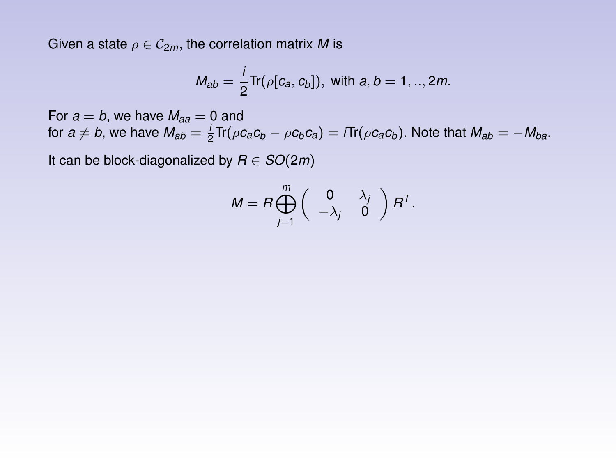Given a state  $\rho \in C_{2m}$ , the correlation matrix *M* is

$$
M_{ab} = \frac{i}{2} \text{Tr}(\rho[c_a, c_b]), \text{ with } a, b = 1, ..., 2m.
$$

For  $a = b$ , we have  $M_{aa} = 0$  and for  $a \neq b$ , we have  $M_{ab} = \frac{i}{2} \text{Tr}(\rho c_a c_b - \rho c_b c_a) = i \text{Tr}(\rho c_a c_b)$ . Note that  $M_{ab} = -M_{ba}$ .

It can be block-diagonalized by  $R \in SO(2m)$ 

$$
M = R \bigoplus_{j=1}^m \left( \begin{array}{cc} 0 & \lambda_j \\ -\lambda_j & 0 \end{array} \right) R^T.
$$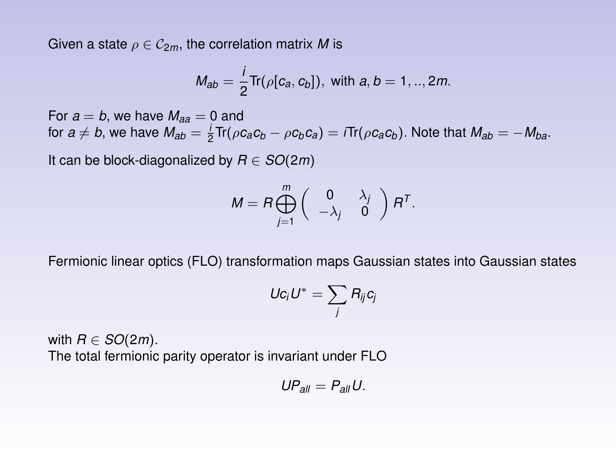Given a state  $\rho \in \mathcal{C}_{2m}$ , the correlation matrix M is

$$
M_{ab} = \frac{i}{2} \text{Tr}(\rho[c_a, c_b]), \text{ with } a, b = 1, ..., 2m.
$$

For  $a = b$ , we have  $M_{aa} = 0$  and for  $a \neq b$ , we have  $M_{ab} = \frac{i}{2} \text{Tr}(\rho c_a c_b - \rho c_b c_a) = i \text{Tr}(\rho c_a c_b)$ . Note that  $M_{ab} = -M_{ba}$ .

It can be block-diagonalized by  $R \in SO(2m)$ 

$$
M = R \bigoplus_{j=1}^m \left( \begin{array}{cc} 0 & \lambda_j \\ -\lambda_j & 0 \end{array} \right) R^T.
$$

Fermionic linear optics (FLO) transformation maps Gaussian states into Gaussian states

$$
Uc_iU^*=\sum_j R_{ij}c_j
$$

with  $R \in SO(2m)$ . The total fermionic parity operator is invariant under FLO

$$
UP_{all}=P_{all}U.
$$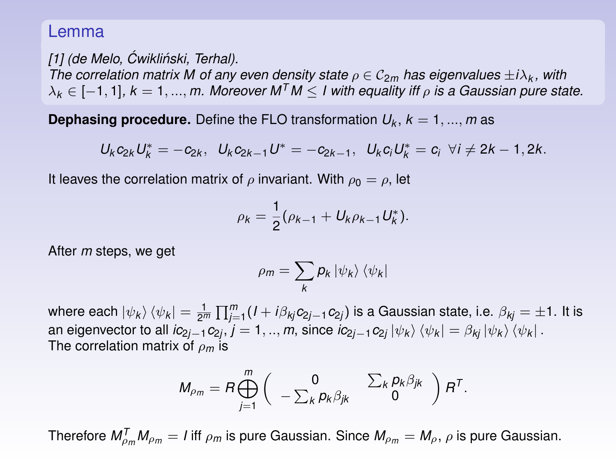#### Lemma

*[\[1\]](#page-40-0) (de Melo, Cwikli ´ nski, Terhal). ´ The correlation matrix M of any even density state*  $\rho \in C_{2m}$  *has eigenvalues*  $\pm i\lambda_k$ , with  $\lambda_k \in [-1, 1]$ ,  $k = 1, ..., m$ . Moreover  $M^T M \leq 1$  with equality iff  $\rho$  is a Gaussian pure state.

**Dephasing procedure.** Define the FLO transformation  $U_k$ ,  $k = 1, ..., m$  as

$$
U_{k}c_{2k}U_{k}^{*}=-c_{2k}, U_{k}c_{2k-1}U^{*}=-c_{2k-1}, U_{k}c_{i}U_{k}^{*}=c_{i} \forall i \neq 2k-1, 2k.
$$

It leaves the correlation matrix of  $\rho$  invariant. With  $\rho_0 = \rho$ , let

$$
\rho_k = \frac{1}{2}(\rho_{k-1} + U_k \rho_{k-1} U_k^*).
$$

After *m* steps, we get

$$
\rho_m = \sum_k p_k \ket{\psi_k} \bra{\psi_k}
$$

where each  $|\psi_k\rangle\langle\psi_k|=\frac{1}{2^m}\prod_{j=1}^m(I+i\beta_{kj}c_{2j-1}c_{2j})$  is a Gaussian state, i.e.  $\beta_{kj}=\pm1.$  It is an eigenvector to all  $ic_{2j-1}c_{2j}, j=1,..,m,$  since  $ic_{2j-1}c_{2j}\ket{\psi_k}\bra{\psi_k}=\beta_{kj}\ket{\psi_k}\bra{\psi_k}.$ The correlation matrix of ρ*<sup>m</sup>* is

$$
M_{\rho_m} = R \bigoplus_{j=1}^m \left( \begin{array}{cc} 0 & \sum_k p_k \beta_{jk} \\ -\sum_k p_k \beta_{jk} & 0 \end{array} \right) R^T.
$$

Therefore  $M_{\rho_m}^{\mathcal{T}} M_{\rho_m} = I$  iff  $\rho_m$  is pure Gaussian. Since  $M_{\rho_m}=M_\rho,$   $\rho$  is pure Gaussian.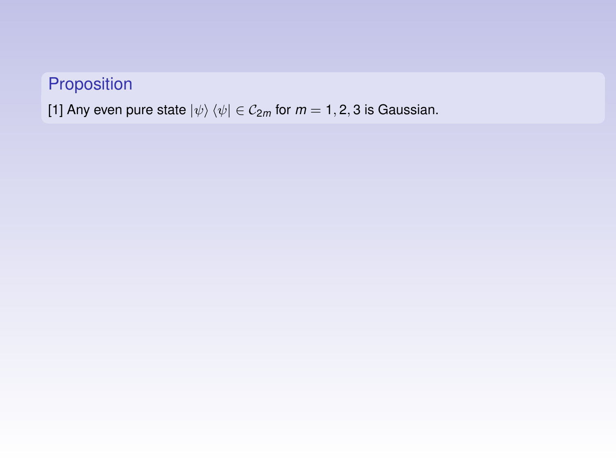## Proposition

[\[1\]](#page-40-0) Any even pure state  $|\psi\rangle \langle \psi| \in C_{2m}$  for  $m = 1, 2, 3$  is Gaussian.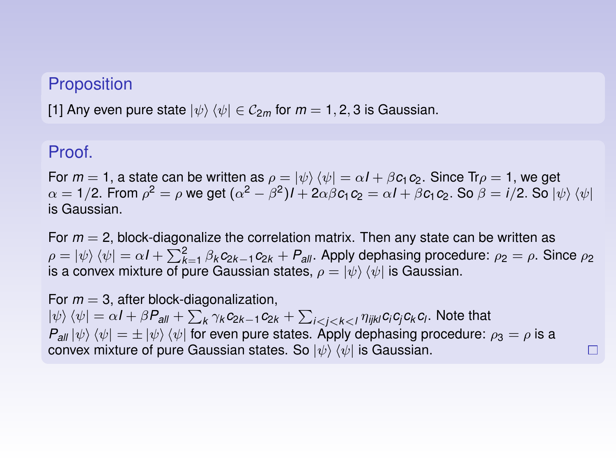### **Proposition**

[\[1\]](#page-40-0) Any even pure state  $|\psi\rangle \langle \psi| \in C_{2m}$  for  $m = 1, 2, 3$  is Gaussian.

### Proof.

For  $m = 1$ , a state can be written as  $\rho = \ket{\psi} \bra{\psi} = \alpha I + \beta c_1 c_2$ . Since Tr $\rho = 1$ , we get  $\alpha = 1/2$ . From  $\rho^2 = \rho$  we get  $(\alpha^2 - \beta^2)I + 2\alpha\beta c_1c_2 = \alpha I + \beta c_1c_2$ . So  $\beta = i/2$ . So  $\ket{\psi}\bra{\psi}$ is Gaussian.

For *m* = 2, block-diagonalize the correlation matrix. Then any state can be written as  $ρ = |ψ⟩(ψ| = αI + ∑<sup>2</sup><sub>K=1</sub> β<sub>k</sub>c<sub>2k−1</sub>c<sub>2k</sub> + P<sub>all</sub>$ . Apply dephasing procedure:  $ρ<sub>2</sub> = ρ$ . Since  $ρ<sub>2</sub>$ is a convex mixture of pure Gaussian states,  $\rho = \ket{\psi} \bra{\psi}$  is Gaussian.

For  $m = 3$ , after block-diagonalization,  $\ket{\psi}\bra{\psi}=\alpha I+\beta P_{\sf all}+\sum_{k}\gamma_{k}c_{2k-1}c_{2k}+\sum_{i< j< k< l}\eta_{ijkl}c_{i}c_{j}c_{k}c_{l}.$  Note that  $P_{all} |\psi\rangle \langle \psi| = \pm |\psi\rangle \langle \psi|$  for even pure states. Apply dephasing procedure:  $\rho_3 = \rho$  is a convex mixture of pure Gaussian states. So  $|\psi\rangle\langle\psi|$  is Gaussian. П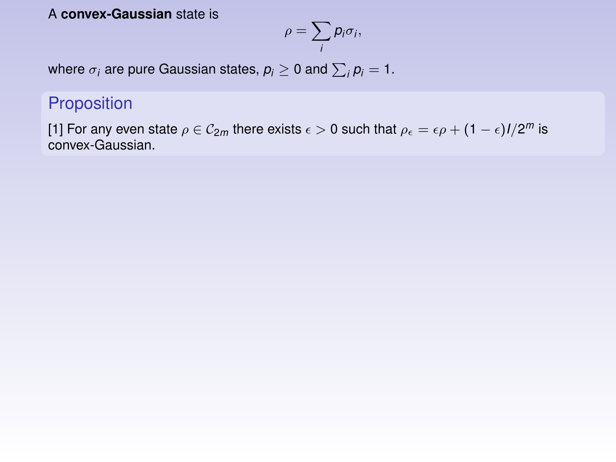#### A **convex-Gaussian** state is

$$
\rho=\sum_i p_i\sigma_i,
$$

where  $\sigma_i$  are pure Gaussian states,  $\rho_i \geq 0$  and  $\sum_i \rho_i = 1.$ 

### Proposition

[\[1\]](#page-40-0) For any even state  $\rho \in \mathcal{C}_{2m}$  there exists  $\epsilon > 0$  such that  $\rho_\epsilon = \epsilon \rho + (1-\epsilon)l/2^m$  is convex-Gaussian.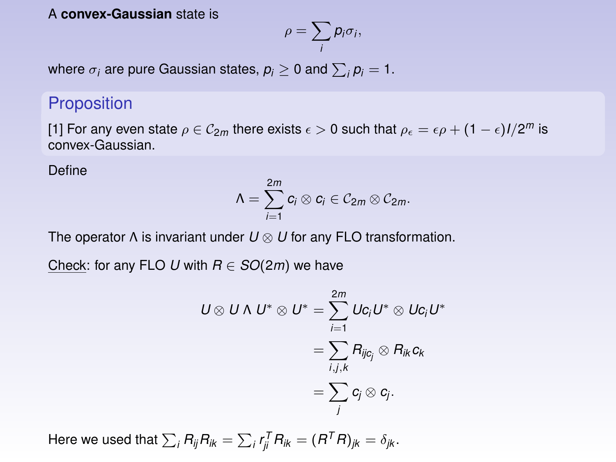#### A **convex-Gaussian** state is

$$
\rho=\sum_i p_i\sigma_i,
$$

where  $\sigma_i$  are pure Gaussian states,  $\rho_i \geq 0$  and  $\sum_i \rho_i = 1.$ 

### **Proposition**

[\[1\]](#page-40-0) For any even state  $\rho \in \mathcal{C}_{2m}$  there exists  $\epsilon > 0$  such that  $\rho_\epsilon = \epsilon \rho + (1-\epsilon)l/2^m$  is convex-Gaussian.

Define

$$
\Lambda=\sum_{i=1}^{2m}c_i\otimes c_i\in \mathcal{C}_{2m}\otimes \mathcal{C}_{2m}.
$$

The operator Λ is invariant under *U* ⊗ *U* for any FLO transformation.

Check: for any FLO *U* with  $R \in SO(2m)$  we have

$$
U \otimes U \wedge U^* \otimes U^* = \sum_{i=1}^{2m} Uc_i U^* \otimes Uc_i U^*
$$
  
= 
$$
\sum_{i,j,k} R_{ijc_j} \otimes R_{ik}c_k
$$
  
= 
$$
\sum_j c_j \otimes c_j.
$$

Here we used that  $\sum_i R_{ij}R_{ik} = \sum_i r_{ji}^T R_{ik} = (R^TR)_{jk} = \delta_{jk}.$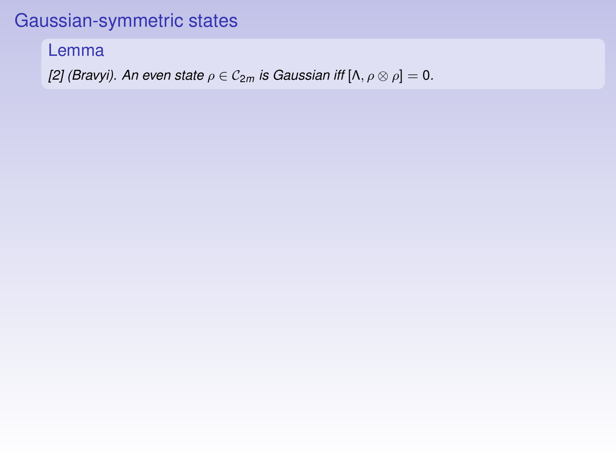# Gaussian-symmetric states

Lemma

*[\[2\]](#page-40-1)* (*Bravyi*). An even state  $\rho \in C_{2m}$  *is Gaussian iff*  $[\Lambda, \rho \otimes \rho] = 0$ .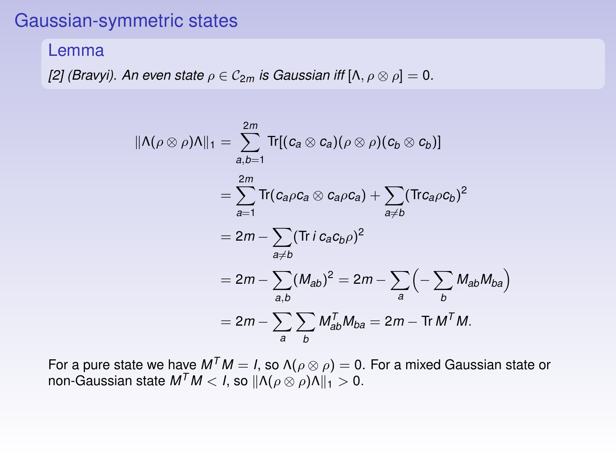# Gaussian-symmetric states

#### Lemma

*[\[2\]](#page-40-1)* (Bravyi). An even state  $\rho \in C_{2m}$  is Gaussian iff  $[\Lambda, \rho \otimes \rho] = 0$ .

$$
\begin{aligned} \|\Lambda(\rho\otimes\rho)\Lambda\|_1 &= \sum_{a,b=1}^{2m} \text{Tr}[(c_a\otimes c_a)(\rho\otimes\rho)(c_b\otimes c_b)] \\ &= \sum_{a=1}^{2m} \text{Tr}(c_a\rho c_a\otimes c_a\rho c_a) + \sum_{a\neq b} (\text{Tr}c_a\rho c_b)^2 \\ &= 2m - \sum_{a\neq b} (\text{Tr} \,i\,c_a c_b\rho)^2 \\ &= 2m - \sum_{a,b} (M_{ab})^2 = 2m - \sum_a \left(-\sum_b M_{ab} M_{ba}\right) \\ &= 2m - \sum_a \sum_b M_{ab}^T M_{ba} = 2m - \text{Tr} \, M^T M. \end{aligned}
$$

For a pure state we have  $M^TM = I$ , so  $\Lambda(\rho \otimes \rho) = 0$ . For a mixed Gaussian state or non-Gaussian state  $M^TM < I$ , so  $||\Lambda(\rho \otimes \rho)\Lambda||_1 > 0$ .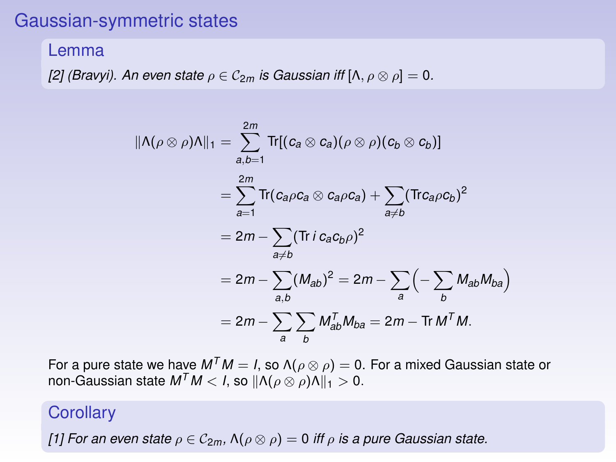### Gaussian-symmetric states

#### Lemma

*[\[2\]](#page-40-1)* (Bravyi). An even state  $\rho \in C_{2m}$  is Gaussian iff  $[\Lambda, \rho \otimes \rho] = 0$ .

$$
\begin{aligned} \|\Lambda(\rho\otimes\rho)\Lambda\|_1 &= \sum_{a,b=1}^{2m} \text{Tr}[(c_a\otimes c_a)(\rho\otimes\rho)(c_b\otimes c_b)] \\ &= \sum_{a=1}^{2m} \text{Tr}(c_a\rho c_a\otimes c_a\rho c_a) + \sum_{a\neq b} (\text{Tr}c_a\rho c_b)^2 \\ &= 2m - \sum_{a\neq b} (\text{Tr} \,i\,c_a c_b\rho)^2 \\ &= 2m - \sum_{a,b} (M_{ab})^2 = 2m - \sum_a \left(-\sum_b M_{ab} M_{ba}\right) \\ &= 2m - \sum_a \sum_b M_{ab}^T M_{ba} = 2m - \text{Tr} \, M^T M. \end{aligned}
$$

For a pure state we have  $M^TM = I$ , so  $\Lambda(\rho \otimes \rho) = 0$ . For a mixed Gaussian state or non-Gaussian state  $M^TM < I$ , so  $|| \Lambda(\rho \otimes \rho) \Lambda ||_1 > 0$ .

#### **Corollary**

*[\[1\]](#page-40-0)* For an even state  $\rho \in C_{2m}$ ,  $\Lambda(\rho \otimes \rho) = 0$  *iff*  $\rho$  *is a pure Gaussian state.*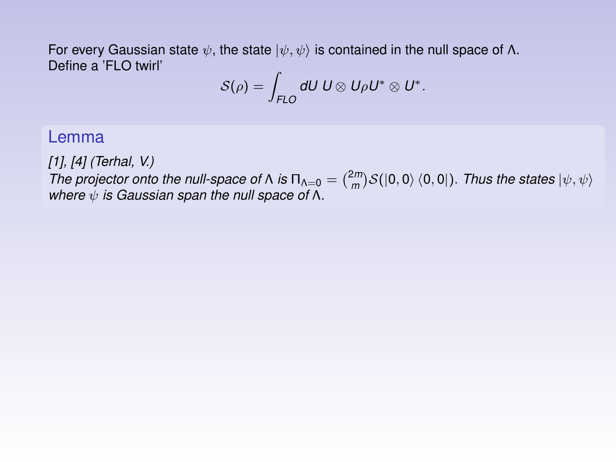For every Gaussian state  $\psi$ , the state  $|\psi, \psi\rangle$  is contained in the null space of Λ. Define a 'FLO twirl'

$$
\mathcal{S}(\rho) = \int_{\mathsf{FLO}} dU \ U \otimes U \rho U^* \otimes U^*.
$$

### Lemma

*[\[1\]](#page-40-0), [\[4\]](#page-40-2) (Terhal, V.)*

*The projector onto the null-space of*  $\Lambda$  *is*  $\Pi_{\Lambda=0} = {2m \choose m} S(|0,0\rangle \langle 0,0|)$ . *Thus the states*  $|\psi, \psi\rangle$ *where* ψ *is Gaussian span the null space of* Λ*.*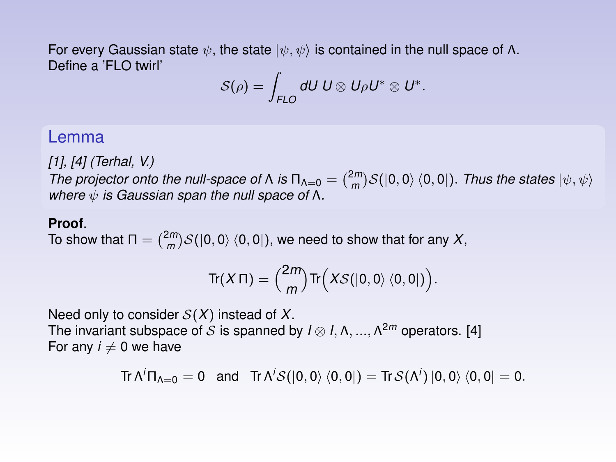For every Gaussian state  $\psi$ , the state  $|\psi, \psi\rangle$  is contained in the null space of Λ. Define a 'FLO twirl'

$$
\mathcal{S}(\rho) = \int_{\mathsf{FLO}} dU \ U \otimes U \rho U^* \otimes U^*.
$$

#### Lemma

*[\[1\]](#page-40-0), [\[4\]](#page-40-2) (Terhal, V.)*

*The projector onto the null-space of*  $\Lambda$  *is*  $\Pi_{\Lambda=0} = {2m \choose m} S(|0,0\rangle \langle 0,0|)$ . *Thus the states*  $|\psi, \psi\rangle$ *where* ψ *is Gaussian span the null space of* Λ*.*

#### **Proof**.

To show that Π =  $\binom{2m}{m}$ S(|0, 0)  $\langle 0, 0 |$  ), we need to show that for any *X*,

$$
\text{Tr}(X \Pi) = {2m \choose m} \text{Tr}\Big(XS(|0,0\rangle\langle0,0|)\Big).
$$

Need only to consider S(*X*) instead of *X*. The invariant subspace of  $S$  is spanned by  $I \otimes I, \Lambda, ..., \Lambda^{2m}$  operators. [\[4\]](#page-40-2) For any  $i \neq 0$  we have

$$
\text{Tr}\, \Lambda^i \Pi_{\Lambda=0} = 0 \quad \text{and} \quad \text{Tr}\, \Lambda^i \mathcal{S}([0,0)\,\langle 0,0|) = \text{Tr}\, \mathcal{S}(\Lambda^i) \, |0,0\rangle \, \langle 0,0| = 0.
$$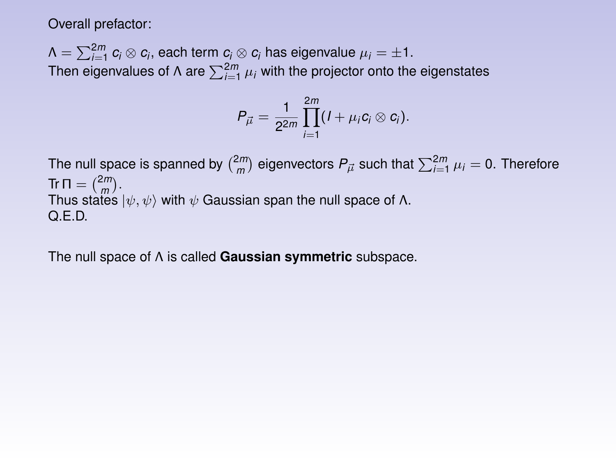Overall prefactor:

 $\Lambda = \sum_{i=1}^{2m} c_i \otimes c_i,$  each term  $c_i \otimes c_i$  has eigenvalue  $\mu_i = \pm 1.$ Then eigenvalues of  $\Lambda$  are  $\sum_{i=1}^{2m} \mu_i$  with the projector onto the eigenstates

$$
P_{\vec{\mu}} = \frac{1}{2^{2m}} \prod_{i=1}^{2m} (I + \mu_i c_i \otimes c_i).
$$

The null space is spanned by  $\binom{2m}{m}$  eigenvectors  $P_{\vec{\mu}}$  such that  $\sum_{i=1}^{2m} \mu_i = 0$ . Therefore  $\text{Tr } \Pi = \binom{2m}{m}.$  $\lim_{n \to \infty} \frac{m}{n}$  iv,  $\psi$  with  $\psi$  Gaussian span the null space of Λ. Q.E.D.

The null space of Λ is called **Gaussian symmetric** subspace.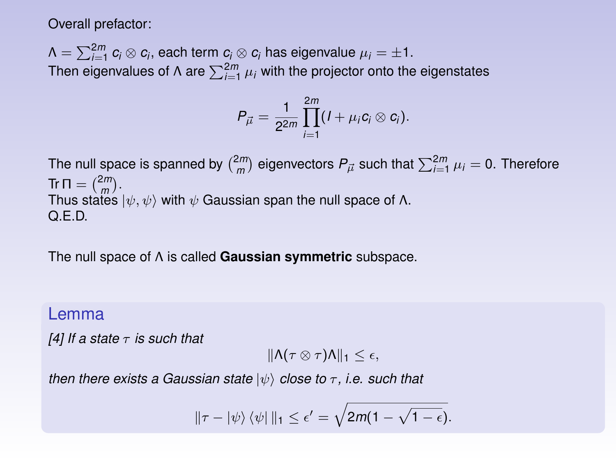Overall prefactor:

 $\Lambda = \sum_{i=1}^{2m} c_i \otimes c_i,$  each term  $c_i \otimes c_i$  has eigenvalue  $\mu_i = \pm 1.$ Then eigenvalues of  $\Lambda$  are  $\sum_{i=1}^{2m} \mu_i$  with the projector onto the eigenstates

$$
P_{\vec{\mu}} = \frac{1}{2^{2m}} \prod_{i=1}^{2m} (I + \mu_i c_i \otimes c_i).
$$

The null space is spanned by  $\binom{2m}{m}$  eigenvectors  $P_{\vec{\mu}}$  such that  $\sum_{i=1}^{2m} \mu_i = 0$ . Therefore  $\text{Tr } \Pi = \binom{2m}{m}.$  $\lim_{n \to \infty} \frac{m}{n}$  iv,  $\psi$  with  $\psi$  Gaussian span the null space of Λ. Q.E.D.

The null space of Λ is called **Gaussian symmetric** subspace.

### Lemma

*[\[4\]](#page-40-2) If a state* τ *is such that*

$$
\|\Lambda(\tau\otimes\tau)\Lambda\|_1\leq\epsilon,
$$

*then there exists a Gaussian state*  $|ψ\rangle$  *close to*  $τ$ *, i.e. such that* 

$$
\|\tau-|\psi\rangle\,\langle\psi|\,\|_1\leq \epsilon'=\sqrt{2m(1-\sqrt{1-\epsilon})}.
$$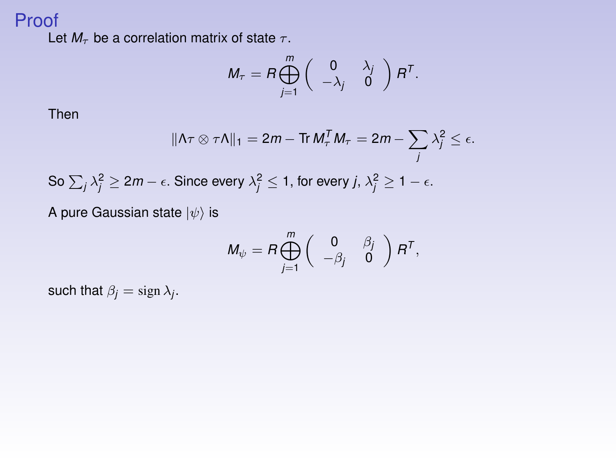### Proof

Let  $M_{\tau}$  be a correlation matrix of state  $\tau$ .

$$
M_{\tau} = R \bigoplus_{j=1}^{m} \left( \begin{array}{cc} 0 & \lambda_{j} \\ -\lambda_{j} & 0 \end{array} \right) R^{T}.
$$

Then

$$
\|\Lambda \tau \otimes \tau \Lambda\|_1 = 2m - \text{Tr } M_\tau^T M_\tau = 2m - \sum_j \lambda_j^2 \le \epsilon.
$$

So 
$$
\sum_j \lambda_j^2 \ge 2m - \epsilon
$$
. Since every  $\lambda_j^2 \le 1$ , for every  $j, \lambda_j^2 \ge 1 - \epsilon$ .

A pure Gaussian state  $|\psi\rangle$  is

$$
M_{\psi} = R \bigoplus_{j=1}^m \left( \begin{array}{cc} 0 & \beta_j \\ -\beta_j & 0 \end{array} \right) R^T,
$$

such that  $\beta_j = \text{sign }\lambda_j$ .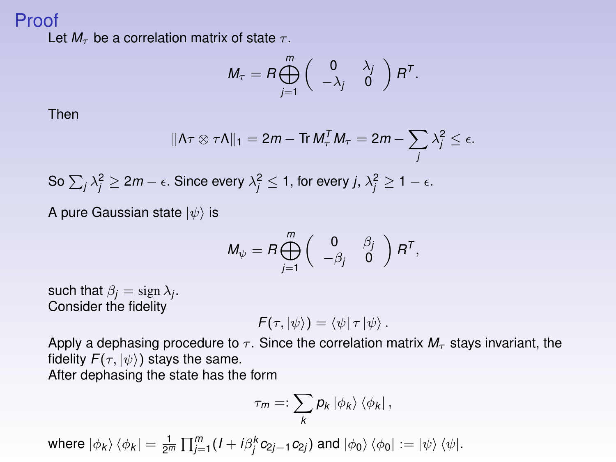### Proof

Let  $M_\tau$  be a correlation matrix of state  $\tau$ .

$$
M_{\tau} = R \bigoplus_{j=1}^{m} \left( \begin{array}{cc} 0 & \lambda_{j} \\ -\lambda_{j} & 0 \end{array} \right) R^{T}.
$$

Then

$$
\|\Lambda \tau \otimes \tau \Lambda\|_1 = 2m - \text{Tr } M_\tau^T M_\tau = 2m - \sum_j \lambda_j^2 \le \epsilon.
$$

So 
$$
\sum_j \lambda_j^2 \ge 2m - \epsilon
$$
. Since every  $\lambda_j^2 \le 1$ , for every  $j, \lambda_j^2 \ge 1 - \epsilon$ .

A pure Gaussian state  $|\psi\rangle$  is

$$
M_{\psi} = R \bigoplus_{j=1}^m \left( \begin{array}{cc} 0 & \beta_j \\ -\beta_j & 0 \end{array} \right) R^T,
$$

such that  $\beta_j = \text{sign }\lambda_j$ . Consider the fidelity

$$
F(\tau, |\psi\rangle) = \langle \psi | \tau | \psi \rangle.
$$

Apply a dephasing procedure to  $\tau$ . Since the correlation matrix  $M_{\tau}$  stays invariant, the fidelity  $F(\tau, |\psi\rangle)$  stays the same. After dephasing the state has the form

$$
\tau_m =: \sum_k p_k \, |\phi_k\rangle \, \langle \phi_k | \, ,
$$

 $\mathsf{where} \, \ket{\phi_k}\bra{\phi_k} = \frac{1}{2^m} \prod_{j=1}^m (I + i \beta_j^k c_{2j-1} c_{2j}) \text{ and } \ket{\phi_0}\bra{\phi_0} := \ket{\psi}\bra{\psi}.$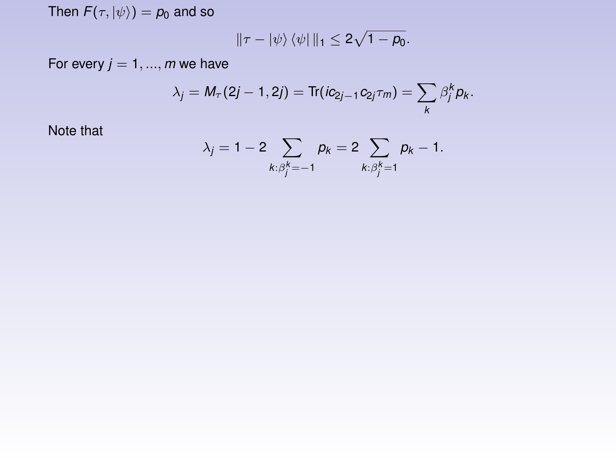Then  $F(\tau, |\psi\rangle) = p_0$  and so

$$
\|\tau-\ket{\psi}\bra{\psi}\|_1\leq 2\sqrt{1-\rho_0}.
$$

For every  $j = 1, ..., m$  we have

$$
\lambda_j = M_{\tau}(2j-1,2j) = \text{Tr}(ic_{2j-1}c_{2j}\tau_m) = \sum_{k} \beta_j^{k} p_k.
$$

Note that

$$
\lambda_j = 1 - 2 \sum_{k: \beta_j^k = -1} p_k = 2 \sum_{k: \beta_j^k = 1} p_k - 1.
$$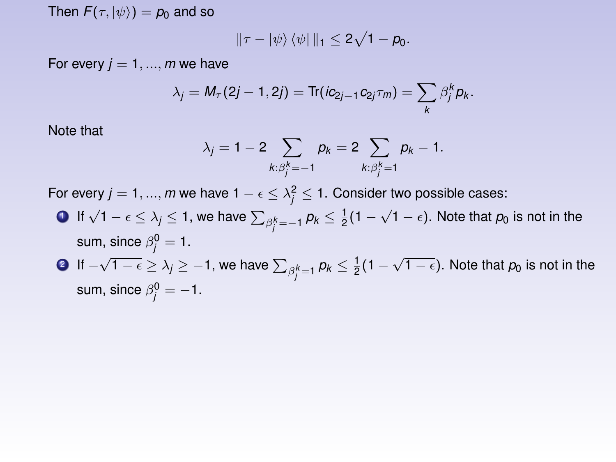Then  $F(\tau, |\psi\rangle) = p_0$  and so

$$
\|\tau-\ket{\psi}\bra{\psi}\|_1\leq 2\sqrt{1-\rho_0}.
$$

For every  $j = 1, ..., m$  we have

sum, since  $\beta_j^0 = -1$ .

$$
\lambda_j = M_{\tau}(2j-1,2j) = \text{Tr}(ic_{2j-1}c_{2j}\tau_m) = \sum_{k} \beta_j^{k} p_k.
$$

Note that

$$
\lambda_j = 1 - 2 \sum_{k: \beta_j^k = -1} p_k = 2 \sum_{k: \beta_j^k = 1} p_k - 1.
$$

For every  $j=1,...,m$  we have  $1-\epsilon \leq \lambda_j^2 \leq 1.$  Consider two possible cases:

**1** If  $\sqrt{1-\epsilon} \le \lambda_j \le 1$ , we have  $\sum_{\substack{\beta_i^k}=-1}$   $\rho_k \le \frac{1}{2}(1-\sqrt{1-\epsilon})$ . Note that  $\rho_0$  is not in the sum, since  $\beta_j^0 = 1$ . **2** If  $-\sqrt{1-\epsilon} \ge \lambda_j \ge -1$ , we have  $\sum_{\beta_j^k=1} p_k \le \frac{1}{2}(1-\sqrt{1-\epsilon})$ . Note that  $p_0$  is not in the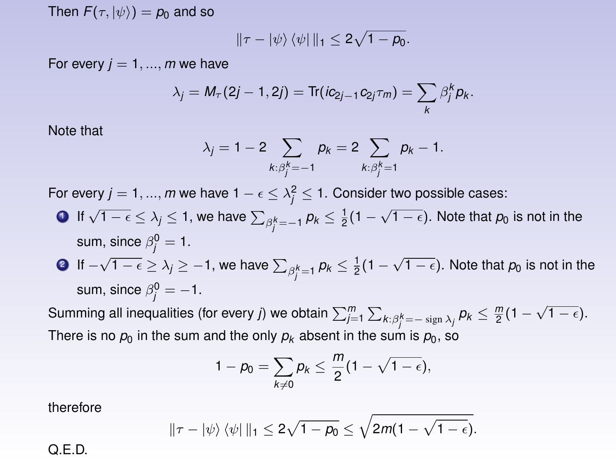Then  $F(\tau, |\psi\rangle) = p_0$  and so

$$
\|\tau-\ket{\psi}\bra{\psi}\|_1\leq 2\sqrt{1-\rho_0}.
$$

For every  $j = 1, ..., m$  we have

$$
\lambda_j = M_{\tau}(2j-1,2j) = \text{Tr}(ic_{2j-1}c_{2j}\tau_m) = \sum_{k} \beta_j^{k} p_k.
$$

Note that

$$
\lambda_j = 1 - 2 \sum_{k: \beta_j^k = -1} p_k = 2 \sum_{k: \beta_j^k = 1} p_k - 1.
$$

For every  $j=1,...,m$  we have  $1-\epsilon \leq \lambda_j^2 \leq 1.$  Consider two possible cases:

- **1** If  $\sqrt{1-\epsilon} \le \lambda_j \le 1$ , we have  $\sum_{\substack{\beta_i^k}=-1}$   $\rho_k \le \frac{1}{2}(1-\sqrt{1-\epsilon})$ . Note that  $\rho_0$  is not in the sum, since  $\beta_j^0 = 1$ .
- **2** If  $-\sqrt{1-\epsilon} \ge \lambda_j \ge -1$ , we have  $\sum_{\beta_j^k=1} p_k \le \frac{1}{2}(1-\sqrt{1-\epsilon})$ . Note that  $p_0$  is not in the sum, since  $\beta_j^0 = -1$ .

Summing all inequalities (for every *j*) we obtain  $\sum_{j=1}^m\sum_{k:\beta_j^k=-\text{ sign }\lambda_j}p_k\leq\frac{m}{2}(1-\sqrt{1-\epsilon}).$ There is no  $p_0$  in the sum and the only  $p_k$  absent in the sum is  $p_0$ , so

$$
1-\rho_0=\sum_{k\neq 0}\rho_k\leq \frac{m}{2}(1-\sqrt{1-\varepsilon}),
$$

therefore

$$
\|\tau-|\psi\rangle\langle\psi|\|_1\leq 2\sqrt{1-\rho_0}\leq \sqrt{2m(1-\sqrt{1-\epsilon})}.
$$

Q.E.D.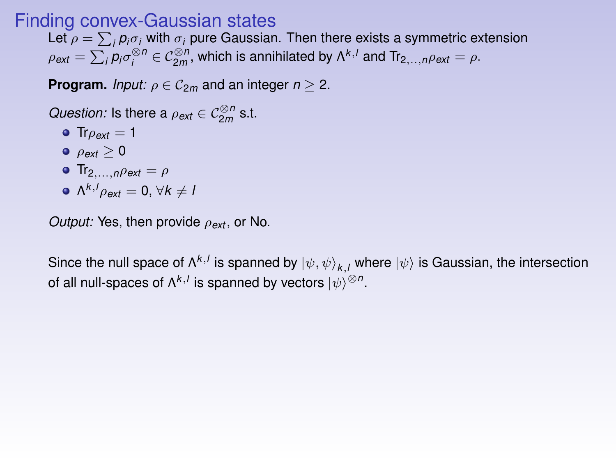### Finding convex-Gaussian states

Let  $\rho = \sum_i \rho_i \sigma_i$  with  $\sigma_i$  pure Gaussian. Then there exists a symmetric extension  $\rho_{ext} = \sum_i p_i \sigma_i^{\otimes n} \in C_{2m}^{\otimes n}$ , which is annihilated by  $\Lambda^{k,l}$  and Tr<sub>2,..,*n* $\rho_{ext} = \rho$ .</sub>

**Program.** *Input:*  $\rho \in \mathcal{C}_{2m}$  and an integer  $n > 2$ .

*Question:* Is there a  $\rho_{ext} \in C_{2m}^{\otimes n}$  s.t.

 $\bullet$  Tr<sub> $\rho_{ext}$ </sub> = 1  $\rho_{ext} > 0$  $\bullet$  Tr<sub>2,...,*n* $\rho$ *ext* =  $\rho$ </sub>  $\Lambda^{k,1} \rho_{ext} = 0$ ,  $\forall k \neq 1$ 

*Output:* Yes, then provide  $ρ_{ext}$ , or No.

Since the null space of  $\Lambda^{k,l}$  is spanned by  $\ket{\psi,\psi}_{k,l}$  where  $\ket{\psi}$  is Gaussian, the intersection of all null-spaces of  $\Lambda^{k,l}$  is spanned by vectors  $\ket{\psi}^{\otimes n}.$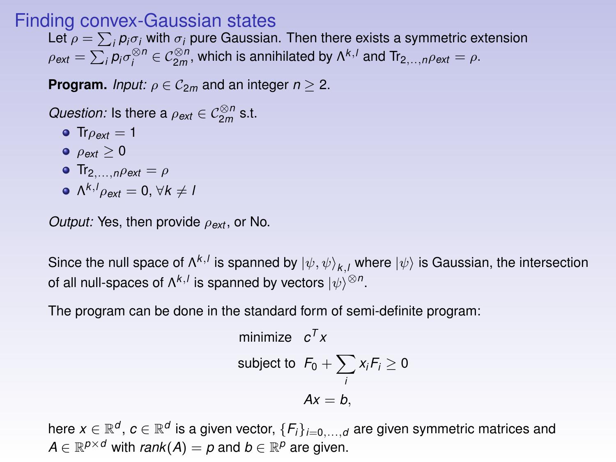### Finding convex-Gaussian states

Let  $\rho = \sum_i \rho_i \sigma_i$  with  $\sigma_i$  pure Gaussian. Then there exists a symmetric extension  $\rho_{ext} = \sum_i p_i \sigma_i^{\otimes n} \in C_{2m}^{\otimes n}$ , which is annihilated by  $\Lambda^{k,l}$  and Tr<sub>2,..,*n* $\rho_{ext} = \rho$ .</sub>

**Program.** *Input:*  $\rho \in \mathcal{C}_{2m}$  and an integer  $n > 2$ .

*Question:* Is there a  $\rho_{ext} \in C_{2m}^{\otimes n}$  s.t.

- $\bullet$  Tr $\rho_{ext} = 1$  $\rho_{ext} > 0$ **•** Tr<sub>2</sub>,  $n\rho_{ext} = \rho$
- $\Lambda^{k,1} \rho_{ext} = 0$ ,  $\forall k \neq 1$

*Output:* Yes, then provide ρ*ext* , or No.

Since the null space of  $\Lambda^{k,l}$  is spanned by  $\ket{\psi,\psi}_{k,l}$  where  $\ket{\psi}$  is Gaussian, the intersection of all null-spaces of  $\Lambda^{k,l}$  is spanned by vectors  $\ket{\psi}^{\otimes n}.$ 

The program can be done in the standard form of semi-definite program:

minimize 
$$
c^T x
$$
  
subject to  $F_0 + \sum_i x_i F_i \ge 0$   
 $Ax = b$ ,

here  $x\in\mathbb{R}^d$ ,  $c\in\mathbb{R}^d$  is a given vector,  $\{F_i\}_{i=0,...,d}$  are given symmetric matrices and  $A \in \mathbb{R}^{p \times d}$  with *rank* $(A) = p$  and  $b \in \mathbb{R}^p$  are given.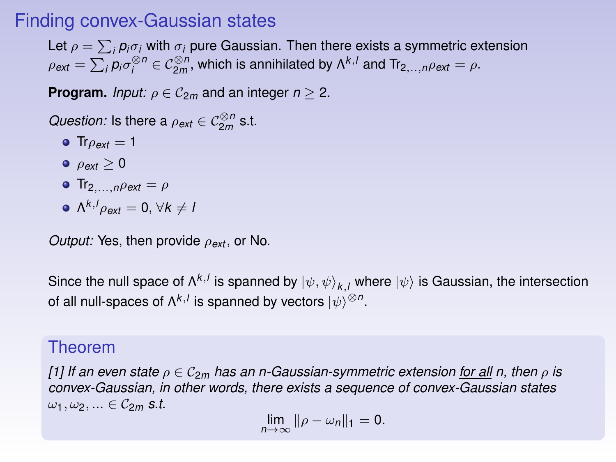### Finding convex-Gaussian states

Let  $\rho = \sum_i \rho_i \sigma_i$  with  $\sigma_i$  pure Gaussian. Then there exists a symmetric extension  $\rho_{ext} = \sum_i p_i \sigma_i^{\otimes n} \in \mathcal{C}_{2m}^{\otimes n}$ , which is annihilated by  $\Lambda^{k,l}$  and Tr<sub>2,...,</sub> $\rho_{ext} = \rho$ .

**Program.** *Input:*  $\rho \in C_{2m}$  and an integer  $n > 2$ .

*Question:* Is there a  $\rho_{ext} \in C_{2m}^{\otimes n}$  s.t.

- $\bullet$  Tr $\rho_{ext} = 1$
- $\rho_{ext} \geq 0$
- **•** Tr<sub>2,...,*n* $\rho$ *ext* =  $\rho$ </sub>
- $\Lambda^{k, l} \rho_{ext} = 0$ ,  $\forall k \neq l$

*Output:* Yes, then provide ρ*ext* , or No.

Since the null space of  $\Lambda^{k,l}$  is spanned by  $\ket{\psi,\psi}_{k,l}$  where  $\ket{\psi}$  is Gaussian, the intersection of all null-spaces of  $\Lambda^{k,l}$  is spanned by vectors  $\ket{\psi}^{\otimes n}.$ 

### Theorem

*[\[1\]](#page-40-0)* If an even state  $\rho \in C_{2m}$  has an n-Gaussian-symmetric extension for all n, then  $\rho$  is *convex-Gaussian, in other words, there exists a sequence of convex-Gaussian states*  $\omega_1, \omega_2, \ldots \in \mathcal{C}_{2m}$  *s.t.* 

 $\lim_{n\to\infty}$   $\|\rho-\omega_n\|_1 = 0.$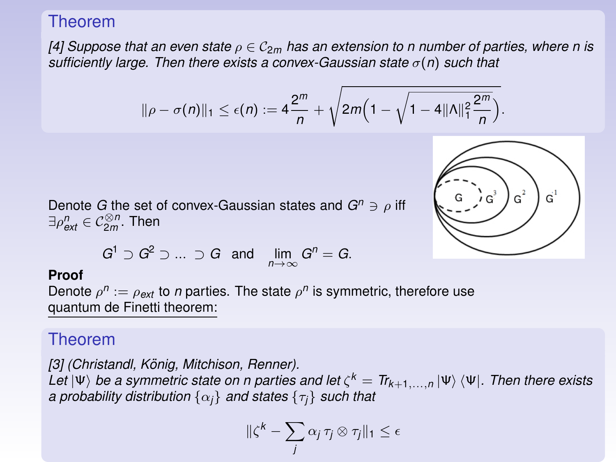### Theorem

*[\[4\]](#page-40-2)* Suppose that an even state  $\rho \in C_{2m}$  has an extension to n number of parties, where n is *sufficiently large. Then there exists a convex-Gaussian state* σ(*n*) *such that*

$$
\|\rho-\sigma(n)\|_1 \leq \epsilon(n) := 4\frac{2^m}{n} + \sqrt{2m\Big(1-\sqrt{1-4\|\Lambda\|_1^2\frac{2^m}{n}}\Big)}.
$$



Denote *G* the set of convex-Gaussian states and  $G^n \ni \rho$  iff  $\exists \rho_{\mathsf{ext}}^n \in \mathcal{C}_{2m}^{\otimes n}$ . Then

$$
G^1 \supset G^2 \supset \ldots \supset G \text{ and } \lim_{n \to \infty} G^n = G.
$$

#### **Proof**

Denote  $\rho^n := \rho_{\text{ext}}$  to *n* parties. The state  $\rho^n$  is symmetric, therefore use quantum de Finetti theorem:

### Theorem

*[\[3\]](#page-40-3) (Christandl, Konig, Mitchison, Renner). ¨* Let  $|\Psi\rangle$  *be a symmetric state on n parties and let*  $\zeta^k = \hbox{Tr}_{k+1,...,n} \ket{\Psi}\bra{\Psi}$ *. Then there exists a probability distribution* {α*j*} *and states* {τ*j*} *such that*

$$
\|\zeta^k - \sum_j \alpha_j \tau_j \otimes \tau_j\|_1 \le \epsilon
$$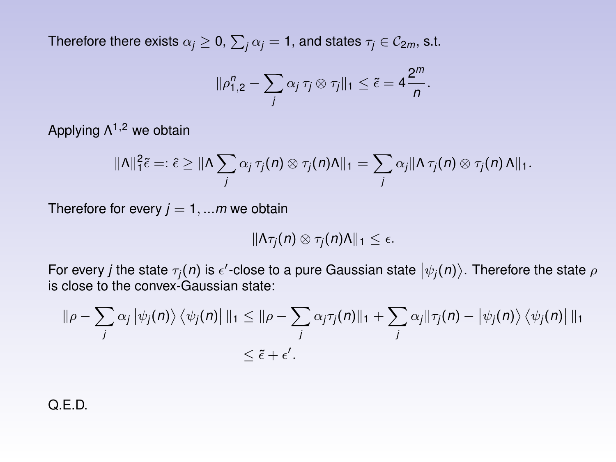Therefore there exists  $\alpha_j \geq 0, \, \sum_j \alpha_j = 1,$  and states  $\tau_j \in \mathcal{C}_{2m},$  s.t.

$$
\|\rho_{1,2}^n-\sum_j\alpha_j\,\tau_j\otimes\tau_j\|_1\leq \tilde{\epsilon}=4\frac{2^m}{n}.
$$

Applying Λ<sup>1,2</sup> we obtain

$$
\|\Lambda\|_{1}^{2}\tilde{\epsilon}=: \hat{\epsilon}\geq \|\Lambda\sum_{j}\alpha_{j}\,\tau_{j}(n)\otimes \tau_{j}(n)\Lambda\|_{1}=\sum_{j}\alpha_{j}\|\Lambda\,\tau_{j}(n)\otimes \tau_{j}(n)\Lambda\|_{1}.
$$

Therefore for every  $j = 1, \dots m$  we obtain

$$
\|\Lambda \tau_j(n)\otimes \tau_j(n)\Lambda\|_1\leq \epsilon.
$$

For every *j* the state  $\tau_j(n)$  is  $\epsilon'$ -close to a pure Gaussian state  $|\psi_j(n)\rangle$ . Therefore the state  $\rho$ is close to the convex-Gaussian state:

$$
\|\rho - \sum_j \alpha_j \left| \psi_j(n) \right\rangle \left\langle \psi_j(n) \right| \|_1 \leq \|\rho - \sum_j \alpha_j \tau_j(n) \|_1 + \sum_j \alpha_j \|\tau_j(n) - \left| \psi_j(n) \right\rangle \left\langle \psi_j(n) \right| \|_1
$$
  

$$
\leq \tilde{\epsilon} + \epsilon'.
$$

Q.E.D.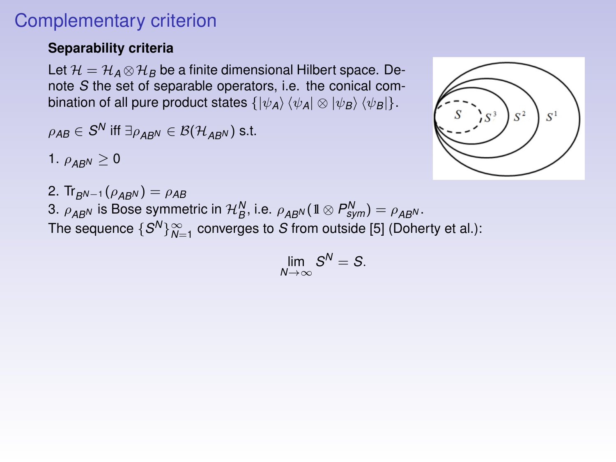# Complementary criterion

#### **Separability criteria**

Let  $\mathcal{H} = \mathcal{H}_A \otimes \mathcal{H}_B$  be a finite dimensional Hilbert space. Denote *S* the set of separable operators, i.e. the conical combination of all pure product states  $\{|\psi_A\rangle \langle \psi_A| \otimes |\psi_B\rangle \langle \psi_B|\}.$ 

$$
\rho_{AB} \in S^N \text{ iff } \exists \rho_{AB^N} \in \mathcal{B}(\mathcal{H}_{AB^N}) \text{ s.t.}
$$

1.  $\rho_{ABN} \geq 0$ 

2. Tr<sub>BN−1</sub> ( $\rho_{ABN}$ ) =  $\rho_{AB}$ 3.  $\rho_{AB}$ <sup>*N*</sup> is Bose symmetric in  $\mathcal{H}_{B}^{N}$ , i.e.  $\rho_{AB}$ *N*( $\mathbb{1} \otimes P_{sym}^{N}$ ) =  $\rho_{AB}$ *N*. The sequence  $\{S^N\}_{N=1}^\infty$  converges to  $S$  from outside [\[5\]](#page-40-4) (Doherty et al.):

$$
\lim_{N\to\infty}S^N=S.
$$

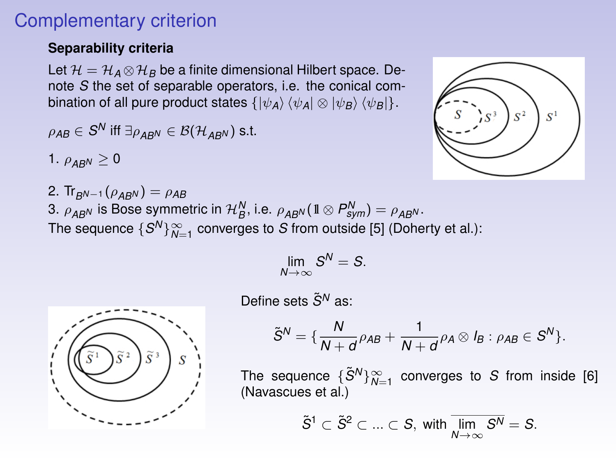## Complementary criterion

#### **Separability criteria**

Let  $\mathcal{H} = \mathcal{H}_A \otimes \mathcal{H}_B$  be a finite dimensional Hilbert space. Denote *S* the set of separable operators, i.e. the conical combination of all pure product states  $\{|\psi_A\rangle \langle \psi_A| \otimes |\psi_B\rangle \langle \psi_B|\}.$ 

$$
\rho_{AB} \in S^N \text{ iff } \exists \rho_{AB^N} \in \mathcal{B}(\mathcal{H}_{AB^N}) \text{ s.t.}
$$

1.  $\rho_{ABN} \geq 0$ 

2. Tr<sub>BN−1</sub> ( $\rho_{ABN}$ ) =  $\rho_{AB}$ 3.  $\rho_{AB}$ <sup>*N*</sup> is Bose symmetric in  $\mathcal{H}_{B}^{N}$ , i.e.  $\rho_{AB}$ *N*( $\mathbb{1} \otimes P_{sym}^{N}$ ) =  $\rho_{AB}$ *N*. The sequence  $\{S^N\}_{N=1}^\infty$  converges to  $S$  from outside [\[5\]](#page-40-4) (Doherty et al.):

$$
\lim_{N\to\infty} S^N=S.
$$



Define sets  $\tilde{S}^{N}$  as:

$$
\tilde{S}^N = \{ \frac{N}{N+d} \rho_{AB} + \frac{1}{N+d} \rho_A \otimes I_B : \rho_{AB} \in S^N \}.
$$

The sequence  $\{\tilde{S}^N\}_{N=1}^\infty$  converges to *S* from inside [\[6\]](#page-40-5) (Navascues et al.)

$$
\tilde{S}^1 \subset \tilde{S}^2 \subset \ldots \subset S, \text{ with } \overline{\lim_{N \to \infty} S^N} = S.
$$

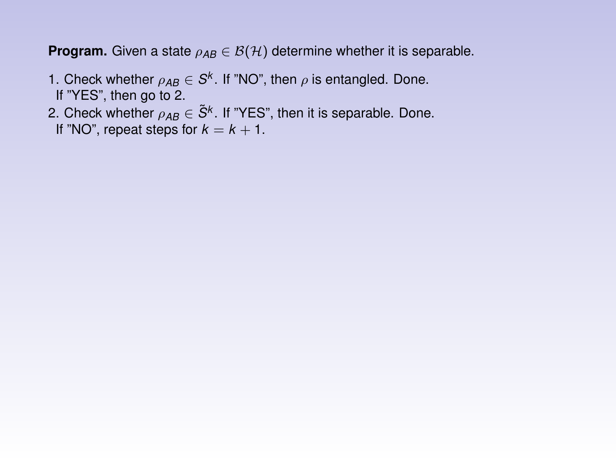**Program.** Given a state  $\rho_{AB} \in \mathcal{B}(\mathcal{H})$  determine whether it is separable.

- 1. Check whether  $\rho_{AB} \in S^k$ . If "NO", then  $\rho$  is entangled. Done. If "YES", then go to 2.
- 2. Check whether  $\rho_{AB} \in \tilde{S}^k$ . If "YES", then it is separable. Done. If "NO", repeat steps for  $k = k + 1$ .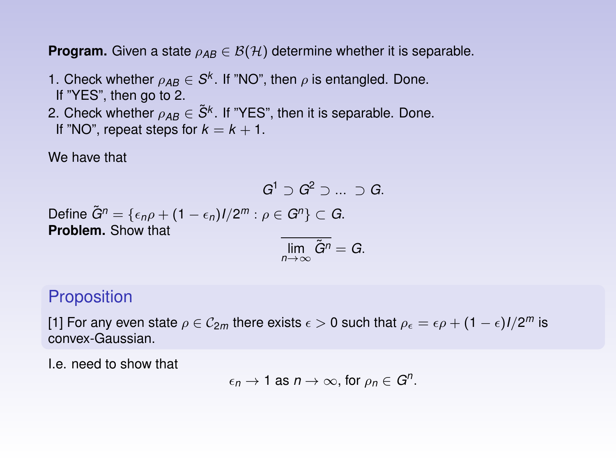**Program.** Given a state  $\rho_{AB} \in \mathcal{B}(\mathcal{H})$  determine whether it is separable.

- 1. Check whether  $\rho_{AB} \in S^k$ . If "NO", then  $\rho$  is entangled. Done. If "YES", then go to 2.
- 2. Check whether  $\rho_{AB} \in \tilde{S}^k$ . If "YES", then it is separable. Done. If "NO", repeat steps for  $k = k + 1$ .

We have that

$$
G^1 \supset G^2 \supset ... \supset G.
$$

 $\mathsf{Define} \ \tilde{G}^n = \{ \epsilon_n \rho + (1-\epsilon_n)l/2^m : \rho \in G^n \} \subset G.$ **Problem.** Show that

$$
\overline{\lim_{n\to\infty}\tilde{G}^n}=G.
$$

#### **Proposition**

[\[1\]](#page-40-0) For any even state  $\rho \in \mathcal{C}_{2m}$  there exists  $\epsilon > 0$  such that  $\rho_\epsilon = \epsilon \rho + (1-\epsilon)l/2^m$  is convex-Gaussian.

I.e. need to show that

$$
\epsilon_n \to 1 \text{ as } n \to \infty \text{, for } \rho_n \in G^n.
$$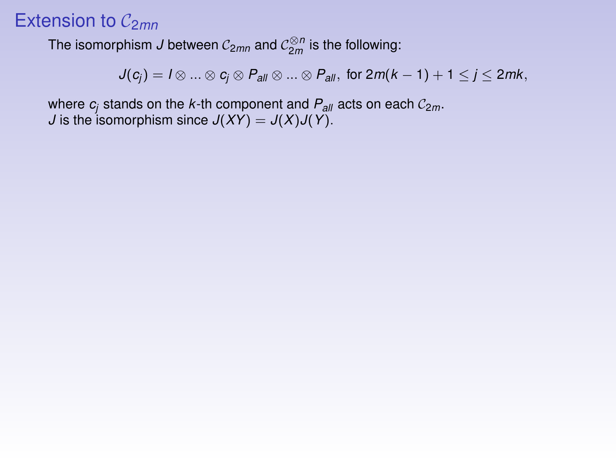# Extension to  $C_{2mn}$

The isomorphism *J* between  $\mathcal{C}_{2mn}$  and  $\mathcal{C}_{2m}^{\otimes n}$  is the following:

$$
J(c_j) = I \otimes ... \otimes c_j \otimes P_{all} \otimes ... \otimes P_{all}, \text{ for } 2m(k-1)+1 \leq j \leq 2mk,
$$

where  $c_i$  stands on the *k*-th component and  $P_{all}$  acts on each  $C_{2m}$ . *J* is the isomorphism since  $J(XY) = J(X)J(Y)$ .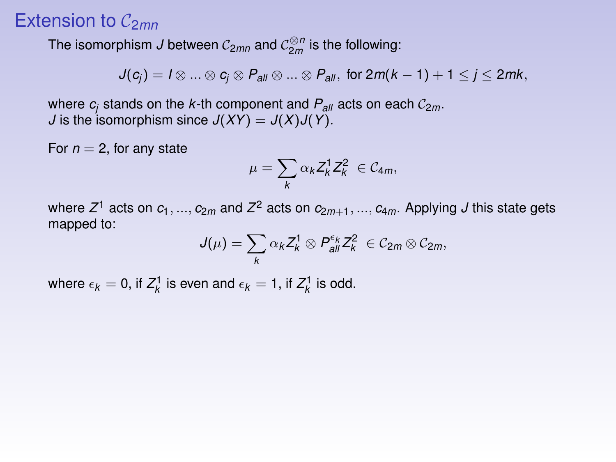## Extension to  $C_{2mn}$

The isomorphism *J* between  $\mathcal{C}_{2mn}$  and  $\mathcal{C}_{2m}^{\otimes n}$  is the following:

$$
J(c_j) = I \otimes ... \otimes c_j \otimes P_{all} \otimes ... \otimes P_{all}, \text{ for } 2m(k-1)+1 \leq j \leq 2mk,
$$

where  $c_i$  stands on the *k*-th component and  $P_{2\ell}$  acts on each  $C_{2m}$ . *J* is the isomorphism since  $J(XY) = J(X)J(Y)$ .

For  $n = 2$ , for any state

$$
\mu=\sum_k \alpha_k Z_k^1 Z_k^2 \in \mathcal{C}_{4m},
$$

where  $Z^1$  acts on  $c_1,...,c_{2m}$  and  $Z^2$  acts on  $c_{2m+1},...,c_{4m}.$  Applying  $J$  this state gets mapped to:

$$
J(\mu)=\sum_k \alpha_k Z_k^1\otimes P_{all}^{\epsilon_k} Z_k^2 \in \mathcal{C}_{2m}\otimes \mathcal{C}_{2m},
$$

where  $\epsilon_k = 0$ , if  $Z_k^1$  is even and  $\epsilon_k = 1$ , if  $Z_k^1$  is odd.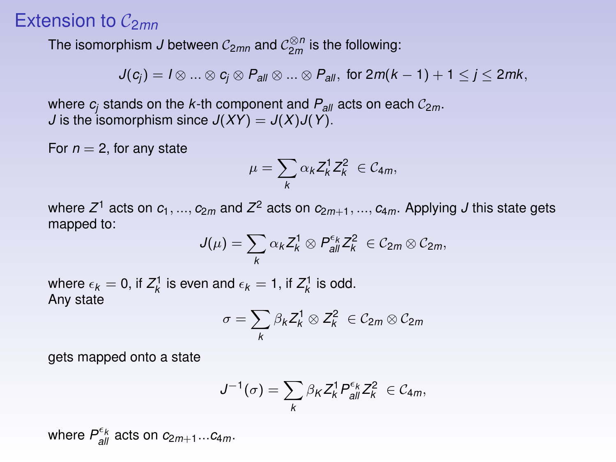## Extension to  $C_{2mn}$

The isomorphism *J* between  $\mathcal{C}_{2mn}$  and  $\mathcal{C}_{2m}^{\otimes n}$  is the following:

$$
J(c_j) = I \otimes ... \otimes c_j \otimes P_{all} \otimes ... \otimes P_{all}, \text{ for } 2m(k-1)+1 \leq j \leq 2mk,
$$

where  $c_i$  stands on the *k*-th component and  $P_{2\ell}$  acts on each  $C_{2m}$ . *J* is the isomorphism since  $J(XY) = J(X)J(Y)$ .

For  $n = 2$ , for any state

$$
\mu=\sum_k \alpha_k Z_k^1 Z_k^2 \in \mathcal{C}_{4m},
$$

where  $Z^1$  acts on  $c_1,...,c_{2m}$  and  $Z^2$  acts on  $c_{2m+1},...,c_{4m}.$  Applying  $J$  this state gets mapped to:

$$
J(\mu)=\sum_k \alpha_k Z_k^1\otimes P_{all}^{\epsilon_k} Z_k^2 \in \mathcal{C}_{2m}\otimes \mathcal{C}_{2m},
$$

where  $\epsilon_k = 0$ , if  $Z_k^1$  is even and  $\epsilon_k = 1$ , if  $Z_k^1$  is odd. Any state

$$
\sigma = \sum_{k} \beta_k Z_k^1 \otimes Z_k^2 \in \mathcal{C}_{2m} \otimes \mathcal{C}_{2m}
$$

gets mapped onto a state

$$
J^{-1}(\sigma)=\sum_{k}\beta_{K}Z_{k}^{1}P_{all}^{\epsilon_{k}}Z_{k}^{2} \in \mathcal{C}_{4m},
$$

where  $P_{all}^{\epsilon_k}$  acts on  $c_{2m+1}...c_{4m}$ .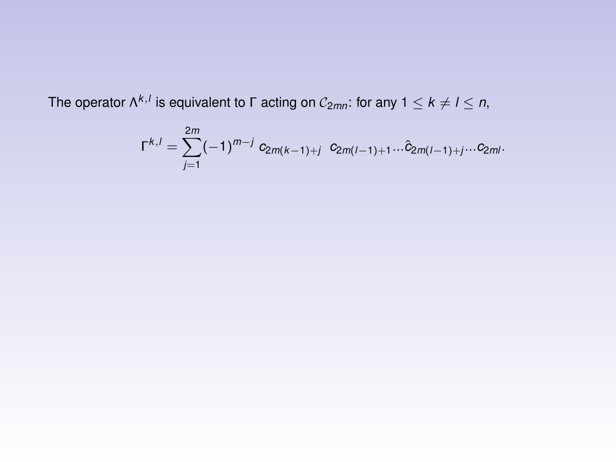The operator Λ<sup>k,*l*</sup> is equivalent to Γ acting on  $\mathcal{C}_{2mn}$ : for any 1  $\leq$  k  $\neq$  l  $\leq$  n,

$$
\Gamma^{k,l} = \sum_{j=1}^{2m} (-1)^{m-j} c_{2m(k-1)+j} c_{2m(l-1)+1}... \hat{c}_{2m(l-1)+j}...c_{2ml}.
$$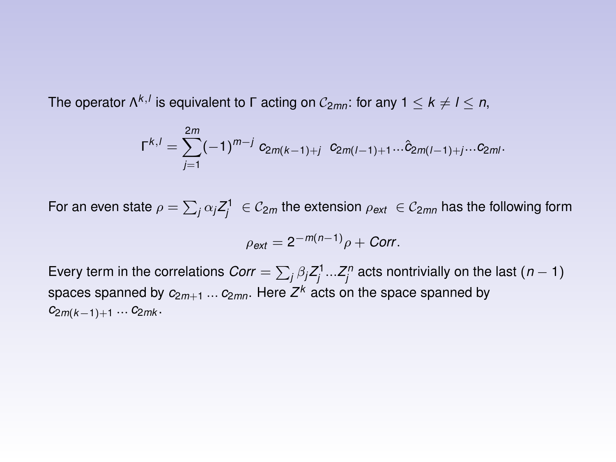The operator Λ<sup>k,*l*</sup> is equivalent to Γ acting on  $\mathcal{C}_{2mn}$ : for any 1  $\leq$  k  $\neq$  l  $\leq$  n,

$$
\Gamma^{k,l} = \sum_{j=1}^{2m} (-1)^{m-j} c_{2m(k-1)+j} c_{2m(l-1)+1}... \hat{c}_{2m(l-1)+j}...c_{2ml}.
$$

For an even state  $\rho=\sum_j\alpha_jZ_j^1\;\in \mathcal C_{2m}$  the extension  $\rho_{ext}\;\in \mathcal C_{2mn}$  has the following form

$$
\rho_{ext} = 2^{-m(n-1)}\rho + \text{Corr}.
$$

Every term in the correlations  $Corr = \sum_j \beta_j Z_j^1...Z_j^n$  acts nontrivially on the last  $(n-1)$ spaces spanned by *c*2*m*+<sup>1</sup> ... *c*2*mn*. Here *Z <sup>k</sup>* acts on the space spanned by *c*2*m*(*k*−1)+<sup>1</sup> ... *c*2*mk* .